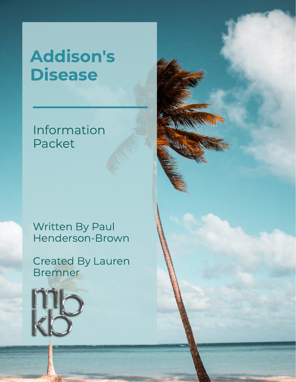# Addison's Disease

#### Information Packet

#### Written By Paul Henderson-Brown

Created By Lauren Bremner

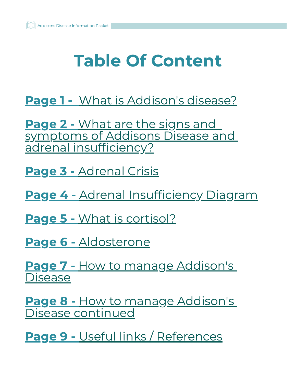# Table Of Content

[Page 1 - What is Addison's disease?](#page-2-0)

[Page 2 - What are the signs and](#page-3-0) symptoms of Addisons Disease and adrenal insufficiency?

[Page 3 - Adrenal Crisis](#page-4-0)

[Page 4 -](#page-5-0) [Adrenal Insufficiency Diagram](#page-5-0)

[Page 5 -](#page-6-0) [What is cortisol?](#page-6-0)

[Page 6 -](#page-7-0) [Aldosterone](#page-7-0)

[Page 7 -](#page-8-0) [How to manage Addison's](#page-8-0) **Disease** 

[Page 8 -](#page-9-0) [How to manage Addison's](#page-9-0) [Disease continued](#page-9-0)

[Page 9 - Useful links / References](#page-10-0)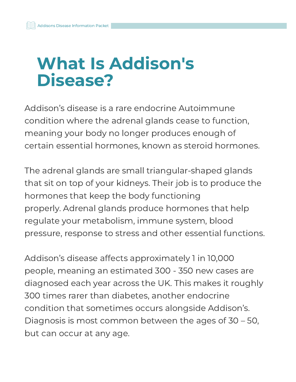### <span id="page-2-0"></span>What Is Addison's Disease?

Addison's disease is a rare endocrine Autoimmune condition where the adrenal glands cease to function, meaning your body no longer produces enough of certain essential hormones, known as steroid hormones.

The adrenal glands are small triangular-shaped glands that sit on top of your kidneys. Their job is to produce the hormones that keep the body functioning properly. Adrenal glands produce hormones that help regulate your metabolism, immune system, blood pressure, response to stress and other essential functions.

Addison's disease affects approximately 1 in 10,000 people, meaning an estimated 300 - 350 new cases are diagnosed each year across the UK. This makes it roughly 300 times rarer than diabetes, another endocrine condition that sometimes occurs alongside Addison's. Diagnosis is most common between the ages of 30 – 50, but can occur at any age.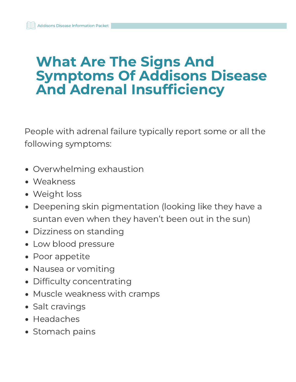#### <span id="page-3-0"></span>What Are The Signs And Symptoms Of Addisons Disease And Adrenal Insufficiency

People with adrenal failure typically report some or all the following symptoms:

- Overwhelming exhaustion
- Weakness
- Weight loss
- Deepening skin pigmentation (looking like they have a suntan even when they haven't been out in the sun)
- Dizziness on standing
- Low blood pressure
- Poor appetite
- Nausea or vomiting
- Difficulty concentrating
- Muscle weakness with cramps
- Salt cravings
- Headaches
- Stomach pains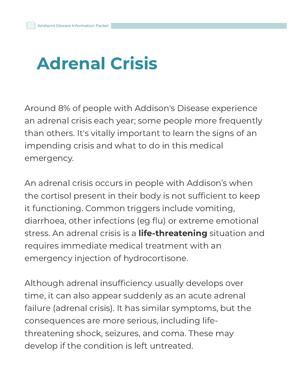# <span id="page-4-0"></span>Adrenal Crisis

Around 8% of people with Addison's Disease experience an adrenal crisis each year; some people more frequently than others. It's vitally important to learn the signs of an impending crisis and what to do in this medical emergency.

An adrenal crisis occurs in people with Addison's when the cortisol present in their body is not sufficient to keep it functioning. Common triggers include vomiting, diarrhoea, other infections (eg flu) or extreme emotional stress. An adrenal crisis is a **life-threatening** situation and requires immediate medical treatment with an emergency injection of hydrocortisone.

Although adrenal insufficiency usually develops over time, it can also appear suddenly as an acute adrenal failure (adrenal crisis). It has similar symptoms, but the consequences are more serious, including lifethreatening shock, seizures, and coma. These may develop if the condition is left untreated.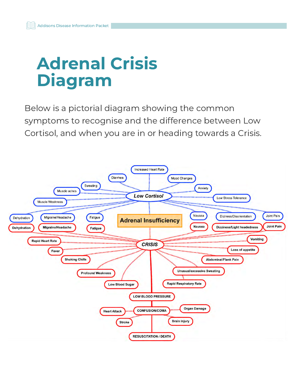# <span id="page-5-0"></span>Adrenal Crisis Diagram

Below is a pictorial diagram showing the common symptoms to recognise and the difference between Low Cortisol, and when you are in or heading towards a Crisis.

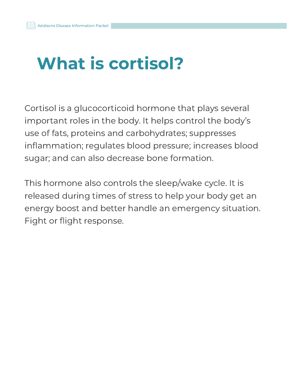# <span id="page-6-0"></span>What is cortisol?

Cortisol is a glucocorticoid hormone that plays several important roles in the body. It helps control the body's use of fats, proteins and carbohydrates; suppresses inflammation; regulates blood pressure; increases blood sugar; and can also decrease bone formation.

This hormone also controls the sleep/wake cycle. It is released during times of stress to help your body get an energy boost and better handle an emergency situation. Fight or flight response.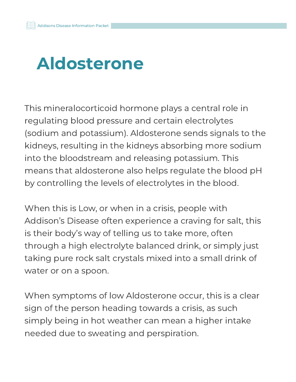## <span id="page-7-0"></span>Aldosterone

This mineralocorticoid hormone plays a central role in regulating blood pressure and certain electrolytes (sodium and potassium). Aldosterone sends signals to the kidneys, resulting in the kidneys absorbing more sodium into the bloodstream and releasing potassium. This means that aldosterone also helps regulate the blood pH by controlling the levels of electrolytes in the blood.

When this is Low, or when in a crisis, people with Addison's Disease often experience a craving for salt, this is their body's way of telling us to take more, often through a high electrolyte balanced drink, or simply just taking pure rock salt crystals mixed into a small drink of water or on a spoon.

When symptoms of low Aldosterone occur, this is a clear sign of the person heading towards a crisis, as such simply being in hot weather can mean a higher intake needed due to sweating and perspiration.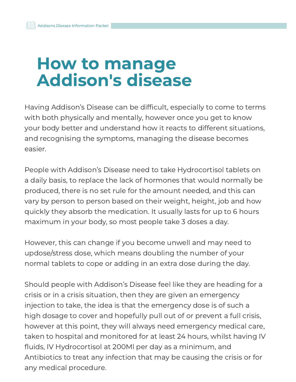#### <span id="page-8-0"></span>How to manage Addison's disease

Having Addison's Disease can be difficult, especially to come to terms with both physically and mentally, however once you get to know your body better and understand how it reacts to different situations, and recognising the symptoms, managing the disease becomes easier.

People with Addison's Disease need to take Hydrocortisol tablets on a daily basis, to replace the lack of hormones that would normally be produced, there is no set rule for the amount needed, and this can vary by person to person based on their weight, height, job and how quickly they absorb the medication. It usually lasts for up to 6 hours maximum in your body, so most people take 3 doses a day.

However, this can change if you become unwell and may need to updose/stress dose, which means doubling the number of your normal tablets to cope or adding in an extra dose during the day.

Should people with Addison's Disease feel like they are heading for a crisis or in a crisis situation, then they are given an emergency injection to take, the idea is that the emergency dose is of such a high dosage to cover and hopefully pull out of or prevent a full crisis, however at this point, they will always need emergency medical care, taken to hospital and monitored for at least 24 hours, whilst having IV fluids, IV Hydrocortisol at 200Ml per day as a minimum, and Antibiotics to treat any infection that may be causing the crisis or for any medical procedure.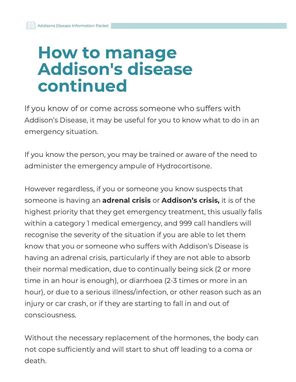#### <span id="page-9-0"></span>How to manage Addison's disease continued

If you know of or come across someone who suffers with Addison's Disease, it may be useful for you to know what to do in an emergency situation.

If you know the person, you may be trained or aware of the need to administer the emergency ampule of Hydrocortisone.

However regardless, if you or someone you know suspects that someone is having an **adrenal crisis** or **Addison's crisis,** it is of the highest priority that they get emergency treatment, this usually falls within a category 1 medical emergency, and 999 call handlers will recognise the severity of the situation if you are able to let them know that you or someone who suffers with Addison's Disease is having an adrenal crisis, particularly if they are not able to absorb their normal medication, due to continually being sick (2 or more time in an hour is enough), or diarrhoea (2-3 times or more in an hour), or due to a serious illness/infection, or other reason such as an injury or car crash, or if they are starting to fall in and out of consciousness.

Without the necessary replacement of the hormones, the body can not cope sufficiently and will start to shut off leading to a coma or death.